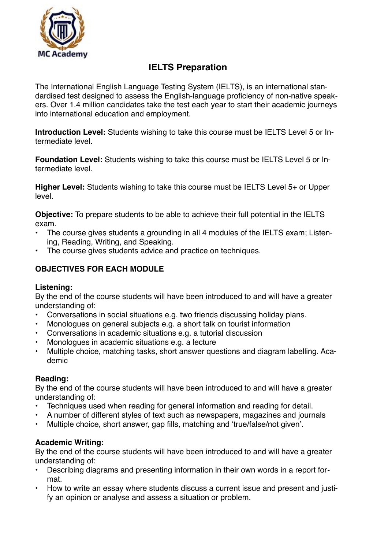

# **IELTS Preparation**

The International English Language Testing System (IELTS), is an international standardised test designed to assess the English-language proficiency of non-native speakers. Over 1.4 million candidates take the test each year to start their academic journeys into international education and employment.

**Introduction Level:** Students wishing to take this course must be IELTS Level 5 or Intermediate level.

**Foundation Level:** Students wishing to take this course must be IELTS Level 5 or Intermediate level.

**Higher Level:** Students wishing to take this course must be IELTS Level 5+ or Upper level.

**Objective:** To prepare students to be able to achieve their full potential in the IELTS exam.

- The course gives students a grounding in all 4 modules of the IELTS exam; Listening, Reading, Writing, and Speaking.
- The course gives students advice and practice on techniques.

## **OBJECTIVES FOR EACH MODULE**

#### **Listening:**

By the end of the course students will have been introduced to and will have a greater understanding of:

- Conversations in social situations e.g. two friends discussing holiday plans.
- Monologues on general subjects e.g. a short talk on tourist information
- Conversations in academic situations e.g. a tutorial discussion
- Monologues in academic situations e.g. a lecture
- Multiple choice, matching tasks, short answer questions and diagram labelling. Academic

#### **Reading:**

By the end of the course students will have been introduced to and will have a greater understanding of:

- Techniques used when reading for general information and reading for detail.
- A number of different styles of text such as newspapers, magazines and journals
- Multiple choice, short answer, gap fills, matching and 'true/false/not given'.

#### **Academic Writing:**

By the end of the course students will have been introduced to and will have a greater understanding of:

- Describing diagrams and presenting information in their own words in a report format.
- How to write an essay where students discuss a current issue and present and justify an opinion or analyse and assess a situation or problem.